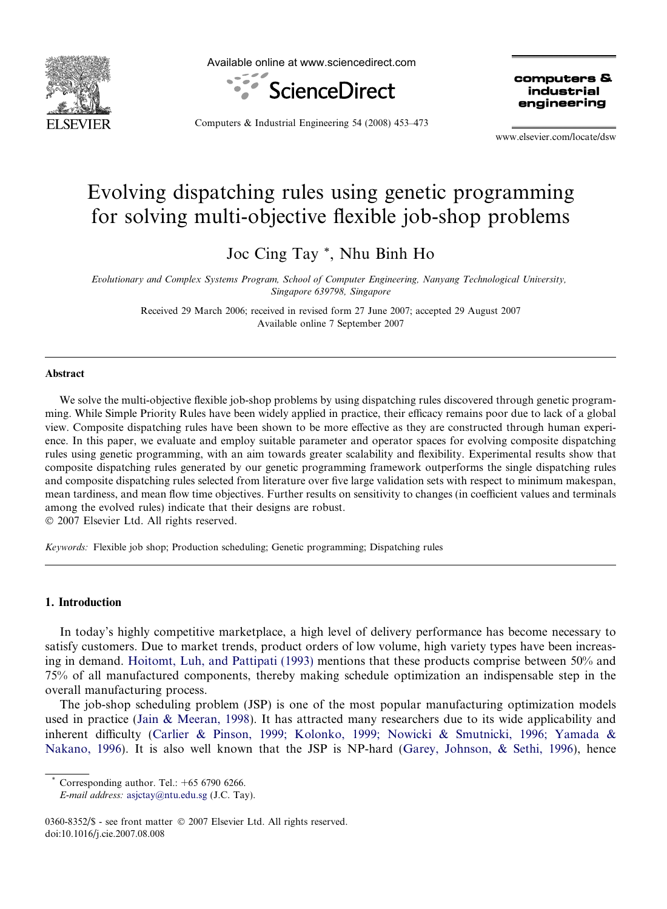

Available online at www.sciencedirect.com



computers & **industrial** engineering

Computers & Industrial Engineering 54 (2008) 453–473

www.elsevier.com/locate/dsw

## Evolving dispatching rules using genetic programming for solving multi-objective flexible job-shop problems

Joc Cing Tay \*, Nhu Binh Ho

Evolutionary and Complex Systems Program, School of Computer Engineering, Nanyang Technological University, Singapore 639798, Singapore

Received 29 March 2006; received in revised form 27 June 2007; accepted 29 August 2007 Available online 7 September 2007

## Abstract

We solve the multi-objective flexible job-shop problems by using dispatching rules discovered through genetic programming. While Simple Priority Rules have been widely applied in practice, their efficacy remains poor due to lack of a global view. Composite dispatching rules have been shown to be more effective as they are constructed through human experience. In this paper, we evaluate and employ suitable parameter and operator spaces for evolving composite dispatching rules using genetic programming, with an aim towards greater scalability and flexibility. Experimental results show that composite dispatching rules generated by our genetic programming framework outperforms the single dispatching rules and composite dispatching rules selected from literature over five large validation sets with respect to minimum makespan, mean tardiness, and mean flow time objectives. Further results on sensitivity to changes (in coefficient values and terminals among the evolved rules) indicate that their designs are robust.

 $© 2007 Elsevier Ltd. All rights reserved.$ 

Keywords: Flexible job shop; Production scheduling; Genetic programming; Dispatching rules

## 1. Introduction

In today's highly competitive marketplace, a high level of delivery performance has become necessary to satisfy customers. Due to market trends, product orders of low volume, high variety types have been increasing in demand. [Hoitomt, Luh, and Pattipati \(1993\)](#page--1-0) mentions that these products comprise between 50% and 75% of all manufactured components, thereby making schedule optimization an indispensable step in the overall manufacturing process.

The job-shop scheduling problem (JSP) is one of the most popular manufacturing optimization models used in practice [\(Jain & Meeran, 1998\)](#page--1-0). It has attracted many researchers due to its wide applicability and inherent difficulty ([Carlier & Pinson, 1999; Kolonko, 1999; Nowicki & Smutnicki, 1996; Yamada &](#page--1-0) [Nakano, 1996](#page--1-0)). It is also well known that the JSP is NP-hard [\(Garey, Johnson, & Sethi, 1996](#page--1-0)), hence

Corresponding author. Tel.:  $+65$  6790 6266.

E-mail address: [asjctay@ntu.edu.sg](mailto:asjctay@ntu.edu.sg) (J.C. Tay).

<sup>0360-8352/\$ -</sup> see front matter © 2007 Elsevier Ltd. All rights reserved. doi:10.1016/j.cie.2007.08.008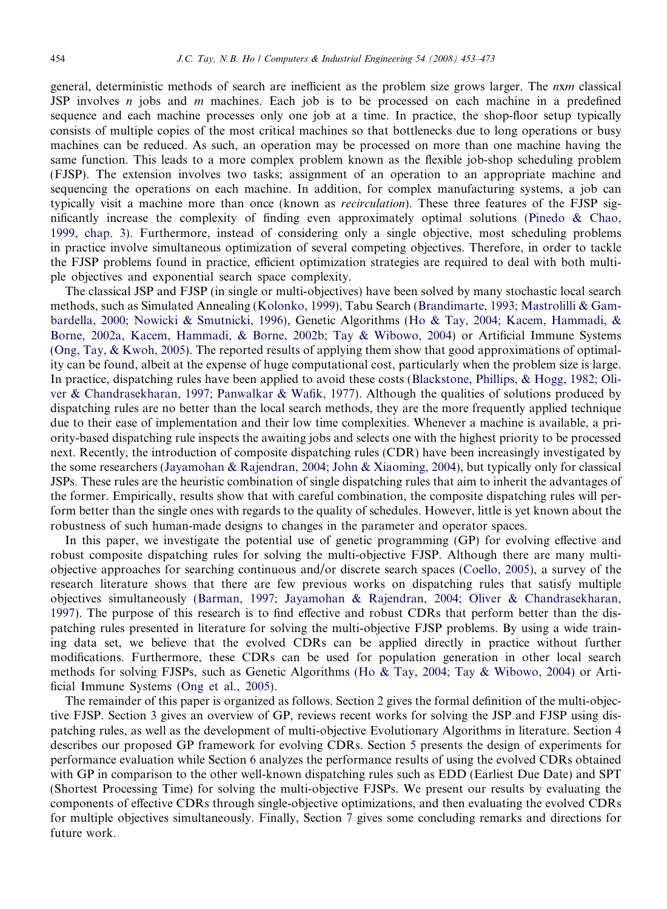general, deterministic methods of search are inefficient as the problem size grows larger. The nxm classical JSP involves  $n$  jobs and  $m$  machines. Each job is to be processed on each machine in a predefined sequence and each machine processes only one job at a time. In practice, the shop-floor setup typically consists of multiple copies of the most critical machines so that bottlenecks due to long operations or busy machines can be reduced. As such, an operation may be processed on more than one machine having the same function. This leads to a more complex problem known as the flexible job-shop scheduling problem (FJSP). The extension involves two tasks; assignment of an operation to an appropriate machine and sequencing the operations on each machine. In addition, for complex manufacturing systems, a job can typically visit a machine more than once (known as *recirculation*). These three features of the FJSP significantly increase the complexity of finding even approximately optimal solutions ([Pinedo & Chao,](#page--1-0) [1999, chap. 3\)](#page--1-0). Furthermore, instead of considering only a single objective, most scheduling problems in practice involve simultaneous optimization of several competing objectives. Therefore, in order to tackle the FJSP problems found in practice, efficient optimization strategies are required to deal with both multiple objectives and exponential search space complexity.

The classical JSP and FJSP (in single or multi-objectives) have been solved by many stochastic local search methods, such as Simulated Annealing [\(Kolonko, 1999\)](#page--1-0), Tabu Search [\(Brandimarte, 1993; Mastrolilli & Gam](#page--1-0)[bardella, 2000; Nowicki & Smutnicki, 1996](#page--1-0)), Genetic Algorithms ([Ho & Tay, 2004; Kacem, Hammadi, &](#page--1-0) [Borne, 2002a, Kacem, Hammadi, & Borne, 2002b; Tay & Wibowo, 2004\)](#page--1-0) or Artificial Immune Systems ([Ong, Tay, & Kwoh, 2005](#page--1-0)). The reported results of applying them show that good approximations of optimality can be found, albeit at the expense of huge computational cost, particularly when the problem size is large. In practice, dispatching rules have been applied to avoid these costs [\(Blackstone, Phillips, & Hogg, 1982; Oli](#page--1-0)[ver & Chandrasekharan, 1997; Panwalkar & Wafik, 1977\)](#page--1-0). Although the qualities of solutions produced by dispatching rules are no better than the local search methods, they are the more frequently applied technique due to their ease of implementation and their low time complexities. Whenever a machine is available, a priority-based dispatching rule inspects the awaiting jobs and selects one with the highest priority to be processed next. Recently, the introduction of composite dispatching rules (CDR) have been increasingly investigated by the some researchers [\(Jayamohan & Rajendran, 2004; John & Xiaoming, 2004](#page--1-0)), but typically only for classical JSPs. These rules are the heuristic combination of single dispatching rules that aim to inherit the advantages of the former. Empirically, results show that with careful combination, the composite dispatching rules will perform better than the single ones with regards to the quality of schedules. However, little is yet known about the robustness of such human-made designs to changes in the parameter and operator spaces.

In this paper, we investigate the potential use of genetic programming (GP) for evolving effective and robust composite dispatching rules for solving the multi-objective FJSP. Although there are many multiobjective approaches for searching continuous and/or discrete search spaces [\(Coello, 2005\)](#page--1-0), a survey of the research literature shows that there are few previous works on dispatching rules that satisfy multiple objectives simultaneously ([Barman, 1997; Jayamohan & Rajendran, 2004; Oliver & Chandrasekharan,](#page--1-0) [1997](#page--1-0)). The purpose of this research is to find effective and robust CDRs that perform better than the dispatching rules presented in literature for solving the multi-objective FJSP problems. By using a wide training data set, we believe that the evolved CDRs can be applied directly in practice without further modifications. Furthermore, these CDRs can be used for population generation in other local search methods for solving FJSPs, such as Genetic Algorithms ([Ho & Tay, 2004; Tay & Wibowo, 2004](#page--1-0)) or Artificial Immune Systems ([Ong et al., 2005](#page--1-0)).

The remainder of this paper is organized as follows. Section [2](#page--1-0) gives the formal definition of the multi-objective FJSP. Section [3](#page--1-0) gives an overview of GP, reviews recent works for solving the JSP and FJSP using dispatching rules, as well as the development of multi-objective Evolutionary Algorithms in literature. Section [4](#page--1-0) describes our proposed GP framework for evolving CDRs. Section [5](#page--1-0) presents the design of experiments for performance evaluation while Section [6](#page--1-0) analyzes the performance results of using the evolved CDRs obtained with GP in comparison to the other well-known dispatching rules such as EDD (Earliest Due Date) and SPT (Shortest Processing Time) for solving the multi-objective FJSPs. We present our results by evaluating the components of effective CDRs through single-objective optimizations, and then evaluating the evolved CDRs for multiple objectives simultaneously. Finally, Section [7](#page--1-0) gives some concluding remarks and directions for future work.